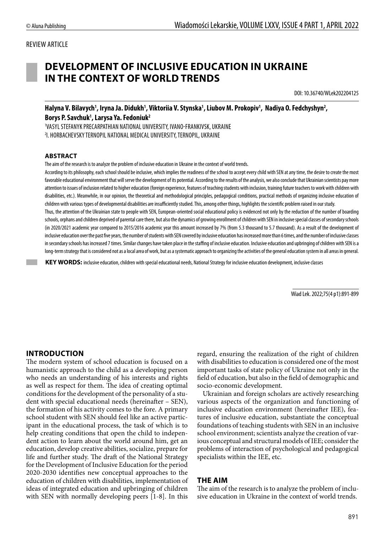#### REVIEW ARTICLE

# **DEVELOPMENT OF INCLUSIVE EDUCATION IN UKRAINE IN THE CONTEXT OF WORLD TRENDS**

DOI: 10.36740/WLek202204125

Halyna V. Bilavych<sup>1</sup>, Iryna Ja. Didukh<sup>1</sup>, Viktoriia V. Stynska<sup>1</sup>, Liubov M. Prokopiv<sup>1</sup>, Nadiya O. Fedchyshyn<sup>2</sup>, **Borys P. Savchuk1 , Larysa Ya. Fedoniuk2**

1 VASYL STEFANYK PRECARPATHIAN NATIONAL UNIVERSITY, IVANO-FRANKIVSK, UKRAINE 2 I. HORBACHEVSKY TERNOPIL NATIONAL MEDICAL UNIVERSITY, TERNOPIL, UKRAINE

#### **ABSTRACT**

The aim of the research is to analyze the problem of inclusive education in Ukraine in the context of world trends.

According to its philosophy, each school should be inclusive, which implies the readiness of the school to accept every child with SEN at any time, the desire to create the most favorable educational environment that will serve the development of its potential. According to the results of the analysis, we also conclude that Ukrainian scientists pay more attention to issues of inclusion related to higher education (foreign experience, features of teaching students with inclusion, training future teachers to work with children with disabilities, etc.). Meanwhile, in our opinion, the theoretical and methodological principles, pedagogical conditions, practical methods of organizing inclusive education of children with various types of developmental disabilities are insufficiently studied. This, among other things, highlights the scientific problem raised in our study.

Thus, the attention of the Ukrainian state to people with SEN, European-oriented social educational policy is evidenced not only by the reduction of the number of boarding schools, orphans and children deprived of parental care there, but also the dynamics of growing enrollment of children with SEN in inclusive special classes of secondary schools (in 2020/2021 academic year compared to 2015/2016 academic year this amount increased by 7% (from 5.3 thousand to 5.7 thousand). As a result of the development of inclusive education over the past five years, the number of students with SEN covered by inclusive education has increased more than 6 times, and the number of inclusive classes in secondary schools has increased 7 times. Similar changes have taken place in the staffing of inclusive education. Inclusive education and upbringing of children with SEN is a long-term strategy that is considered not as a local area of work, but as a systematic approach to organizing the activities of the general education system in all areas in general.

 **KEY WORDS:** inclusive education, children with special educational needs, National Strategy for inclusive education development, inclusive classes

Wiad Lek. 2022;75(4 p1):891-899

#### **INTRODUCTION**

The modern system of school education is focused on a humanistic approach to the child as a developing person who needs an understanding of his interests and rights as well as respect for them. The idea of creating optimal conditions for the development of the personality of a student with special educational needs (hereinafter – SEN), the formation of his activity comes to the fore. A primary school student with SEN should feel like an active participant in the educational process, the task of which is to help creating conditions that open the child to independent action to learn about the world around him, get an education, develop creative abilities, socialize, prepare for life and further study. The draft of the National Strategy for the Development of Inclusive Education for the period 2020-2030 identifies new conceptual approaches to the education of children with disabilities, implementation of ideas of integrated education and upbringing of children with SEN with normally developing peers [1-8]. In this regard, ensuring the realization of the right of children with disabilities to education is considered one of the most important tasks of state policy of Ukraine not only in the field of education, but also in the field of demographic and socio-economic development.

Ukrainian and foreign scholars are actively researching various aspects of the organization and functioning of inclusive education environment (hereinafter IEE), features of inclusive education, substantiate the conceptual foundations of teaching students with SEN in an inclusive school environment; scientists analyze the creation of various conceptual and structural models of IEE; consider the problems of interaction of psychological and pedagogical specialists within the IEE, etc.

#### **THE AIM**

The aim of the research is to analyze the problem of inclusive education in Ukraine in the context of world trends.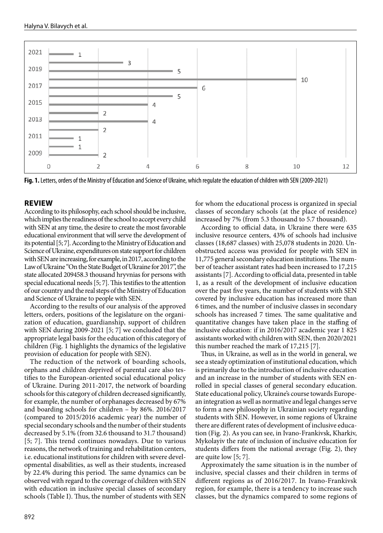

**Fig. 1.** Letters, orders of the Ministry of Education and Science of Ukraine, which regulate the education of children with SEN (2009-2021)

#### **REVIEW**

According to its philosophy, each school should be inclusive, which implies the readiness of the school to accept every child with SEN at any time, the desire to create the most favorable educational environment that will serve the development of its potential [5; 7]. According to the Ministry of Education and Science of Ukraine, expenditures on state support for children with SEN are increasing, for example, in 2017, according to the Law of Ukraine "On the State Budget of Ukraine for 2017", the state allocated 209458.3 thousand hryvnias for persons with special educational needs [5; 7]. This testifies to the attention of our country and the real steps of the Ministry of Education and Science of Ukraine to people with SEN.

According to the results of our analysis of the approved letters, orders, positions of the legislature on the organization of education, guardianship, support of children with SEN during 2009-2021 [5; 7] we concluded that the appropriate legal basis for the education of this category of children (Fig. 1 highlights the dynamics of the legislative provision of education for people with SEN).

The reduction of the network of boarding schools, orphans and children deprived of parental care also testifies to the European-oriented social educational policy of Ukraine. During 2011-2017, the network of boarding schools for this category of children decreased significantly, for example, the number of orphanages decreased by 67% and boarding schools for children – by 86%. 2016/2017 (compared to 2015/2016 academic year) the number of special secondary schools and the number of their students decreased by 5.1% (from 32.6 thousand to 31.7 thousand) [5; 7]. This trend continues nowadays. Due to various reasons, the network of training and rehabilitation centers, i.e. educational institutions for children with severe developmental disabilities, as well as their students, increased by 22.4% during this period. The same dynamics can be observed with regard to the coverage of children with SEN with education in inclusive special classes of secondary schools (Table I). Thus, the number of students with SEN

for whom the educational process is organized in special classes of secondary schools (at the place of residence) increased by 7% (from 5.3 thousand to 5.7 thousand).

According to official data, in Ukraine there were 635 inclusive resource centers, 43% of schools had inclusive classes (18,687 classes) with 25,078 students in 2020. Unobstructed access was provided for people with SEN in 11,775 general secondary education institutions. The number of teacher assistant rates had been increased to 17,215 assistants [7]. According to official data, presented in table 1, as a result of the development of inclusive education over the past five years, the number of students with SEN covered by inclusive education has increased more than 6 times, and the number of inclusive classes in secondary schools has increased 7 times. The same qualitative and quantitative changes have taken place in the staffing of inclusive education: if in 2016/2017 academic year 1 825 assistants worked with children with SEN, then 2020/2021 this number reached the mark of 17,215 [7].

Thus, in Ukraine, as well as in the world in general, we see a steady optimization of institutional education, which is primarily due to the introduction of inclusive education and an increase in the number of students with SEN enrolled in special classes of general secondary education. State educational policy, Ukraine's course towards European integration as well as normative and legal changes serve to form a new philosophy in Ukrainian society regarding students with SEN. However, in some regions of Ukraine there are different rates of development of inclusive education (Fig. 2). As you can see, in Ivano-Frankivsk, Kharkiv, Mykolayiv the rate of inclusion of inclusive education for students differs from the national average (Fig. 2), they are quite low [5; 7].

Approximately the same situation is in the number of inclusive, special classes and their children in terms of different regions as of 2016/2017. In Ivano-Frankivsk region, for example, there is a tendency to increase such classes, but the dynamics compared to some regions of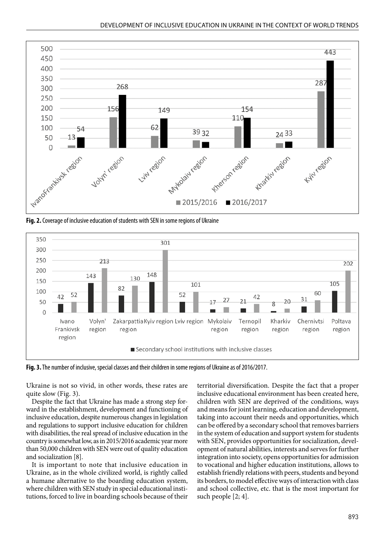

**Fig. 2.** Coverage of inclusive education of students with SEN in some regions of Ukraine



**Fig. 3.** The number of inclusive, special classes and their children in some regions of Ukraine as of 2016/2017.

Ukraine is not so vivid, in other words, these rates are quite slow (Fig. 3).

Despite the fact that Ukraine has made a strong step forward in the establishment, development and functioning of inclusive education, despite numerous changes in legislation and regulations to support inclusive education for children with disabilities, the real spread of inclusive education in the country is somewhat low, as in 2015/2016 academic year more than 50,000 children with SEN were out of quality education and socialization [8].

It is important to note that inclusive education in Ukraine, as in the whole civilized world, is rightly called a humane alternative to the boarding education system, where children with SEN study in special educational institutions, forced to live in boarding schools because of their territorial diversification. Despite the fact that a proper inclusive educational environment has been created here, children with SEN are deprived of the conditions, ways and means for joint learning, education and development, taking into account their needs and opportunities, which can be offered by a secondary school that removes barriers in the system of education and support system for students with SEN, provides opportunities for socialization, development of natural abilities, interests and serves for further integration into society, opens opportunities for admission to vocational and higher education institutions, allows to establish friendly relations with peers, students and beyond its borders, to model effective ways of interaction with class and school collective, etc. that is the most important for such people [2; 4].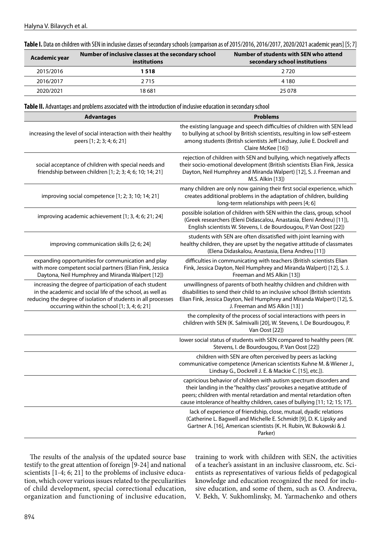| Table I. Data on children with SEN in inclusive classes of secondary schools (comparison as of 2015/2016, 2016/2017, 2020/2021 academic years] [5; 7] |  |  |  |
|-------------------------------------------------------------------------------------------------------------------------------------------------------|--|--|--|
|-------------------------------------------------------------------------------------------------------------------------------------------------------|--|--|--|

| Academic year | Number of inclusive classes at the secondary school<br><b>institutions</b> | Number of students with SEN who attend<br>secondary school institutions |
|---------------|----------------------------------------------------------------------------|-------------------------------------------------------------------------|
| 2015/2016     | 1 518                                                                      | 2720                                                                    |
| 2016/2017     | 2 7 1 5                                                                    | 4 1 8 0                                                                 |
| 2020/2021     | 18 681                                                                     | 25 078                                                                  |

**Table II.** Advantages and problems associated with the introduction of inclusive education in secondary school

| <b>Advantages</b>                                                                                                                                                                                                                    | <b>Problems</b>                                                                                                                                                                                                                                                                                  |
|--------------------------------------------------------------------------------------------------------------------------------------------------------------------------------------------------------------------------------------|--------------------------------------------------------------------------------------------------------------------------------------------------------------------------------------------------------------------------------------------------------------------------------------------------|
| increasing the level of social interaction with their healthy<br>peers [1; 2; 3; 4; 6; 21]                                                                                                                                           | the existing language and speech difficulties of children with SEN lead<br>to bullying at school by British scientists, resulting in low self-esteem<br>among students (British scientists Jeff Lindsay, Julie E. Dockrell and<br>Claire McKee [16])                                             |
| social acceptance of children with special needs and<br>friendship between children [1; 2; 3; 4; 6; 10; 14; 21]                                                                                                                      | rejection of children with SEN and bullying, which negatively affects<br>their socio-emotional development (British scientists Elian Fink, Jessica<br>Dayton, Neil Humphrey and Miranda Walpert) [12], S. J. Freeman and<br>M.S. Alkin [13])                                                     |
| improving social competence [1; 2; 3; 10; 14; 21]                                                                                                                                                                                    | many children are only now gaining their first social experience, which<br>creates additional problems in the adaptation of children, building<br>long-term relationships with peers [4; 6]                                                                                                      |
| improving academic achievement [1; 3, 4; 6; 21; 24]                                                                                                                                                                                  | possible isolation of children with SEN within the class, group, school<br>(Greek researchers (Eleni Didascalou, Anastasia, Eleni Andreu) [11]),<br>English scientists W. Stevens, I. de Bourdougou, P. Van Oost [22])                                                                           |
| improving communication skills [2; 6; 24]                                                                                                                                                                                            | students with SEN are often dissatisfied with joint learning with<br>healthy children, they are upset by the negative attitude of classmates<br>(Elena Didaskalou, Anastasia, Elena Andreu [11])                                                                                                 |
| expanding opportunities for communication and play<br>with more competent social partners (Elian Fink, Jessica<br>Daytona, Neil Humphrey and Miranda Walpert [12])                                                                   | difficulties in communicating with teachers (British scientists Elian<br>Fink, Jessica Dayton, Neil Humphrey and Miranda Walpert) [12], S. J.<br>Freeman and MS Alkin [13])                                                                                                                      |
| increasing the degree of participation of each student<br>in the academic and social life of the school, as well as<br>reducing the degree of isolation of students in all processes<br>occurring within the school [1; 3, 4; 6; 21] | unwillingness of parents of both healthy children and children with<br>disabilities to send their child to an inclusive school (British scientists<br>Elian Fink, Jessica Dayton, Neil Humphrey and Miranda Walpert) [12], S.<br>J. Freeman and MS Alkin [13])                                   |
|                                                                                                                                                                                                                                      | the complexity of the process of social interactions with peers in<br>children with SEN (K. Salmivalli [20], W. Stevens, I. De Bourdougou, P.<br>Van Oost [22])                                                                                                                                  |
|                                                                                                                                                                                                                                      | lower social status of students with SEN compared to healthy peers (W.<br>Stevens, I. de Bourdougou, P. Van Oost [22])                                                                                                                                                                           |
|                                                                                                                                                                                                                                      | children with SEN are often perceived by peers as lacking<br>communicative competence (American scientists Kuhne M. & Wiener J.,<br>Lindsay G., Dockrell J. E. & Mackie C. [15], etc.]).                                                                                                         |
|                                                                                                                                                                                                                                      | capricious behavior of children with autism spectrum disorders and<br>their landing in the "healthy class" provokes a negative attitude of<br>peers; children with mental retardation and mental retardation often<br>cause intolerance of healthy children, cases of bullying [11; 12; 15; 17]. |
|                                                                                                                                                                                                                                      | lack of experience of friendship, close, mutual, dyadic relations<br>(Catherine L. Bagwell and Michelle E. Schmidt [9], D. K. Lipsky and<br>Gartner A. [16], American scientists (K. H. Rubin, W. Bukowski & J.<br>Parker)                                                                       |

The results of the analysis of the updated source base testify to the great attention of foreign [9-24] and national scientists [1-4; 6; 21] to the problems of inclusive education, which cover various issues related to the peculiarities of child development, special correctional education, organization and functioning of inclusive education, training to work with children with SEN, the activities of a teacher's assistant in an inclusive classroom, etc. Scientists as representatives of various fields of pedagogical knowledge and education recognized the need for inclusive education, and some of them, such as O. Andreeva, V. Bekh, V. Sukhomlinsky, M. Yarmachenko and others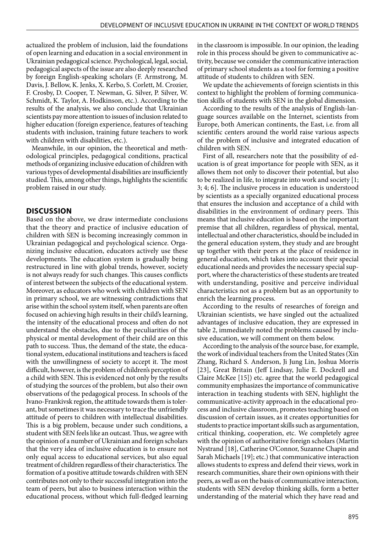actualized the problem of inclusion, laid the foundations of open learning and education in a social environment in Ukrainian pedagogical science. Psychological, legal, social, pedagogical aspects of the issue are also deeply researched by foreign English-speaking scholars (F. Armstrong, M. Davis, J. Bellow, K. Jenks, X. Kerbo, S. Corlett, M. Crozier, F. Crosby, D. Cooper, T. Newman, G. Silver, P. Silver, W. Schmidt, K. Taylor, A. Hodkinson, etc.). According to the results of the analysis, we also conclude that Ukrainian scientists pay more attention to issues of inclusion related to higher education (foreign experience, features of teaching students with inclusion, training future teachers to work with children with disabilities, etc.).

Meanwhile, in our opinion, the theoretical and methodological principles, pedagogical conditions, practical methods of organizing inclusive education of children with various types of developmental disabilities are insufficiently studied. This, among other things, highlights the scientific problem raised in our study.

#### **DISCUSSION**

Based on the above, we draw intermediate conclusions that the theory and practice of inclusive education of children with SEN is becoming increasingly common in Ukrainian pedagogical and psychological science. Organizing inclusive education, educators actively use these developments. The education system is gradually being restructured in line with global trends, however, society is not always ready for such changes. This causes conflicts of interest between the subjects of the educational system. Moreover, as educators who work with children with SEN in primary school, we are witnessing contradictions that arise within the school system itself, when parents are often focused on achieving high results in their child's learning, the intensity of the educational process and often do not understand the obstacles, due to the peculiarities of the physical or mental development of their child are on this path to success. Thus, the demand of the state, the educational system, educational institutions and teachers is faced with the unwillingness of society to accept it. The most difficult, however, is the problem of children's perception of a child with SEN. This is evidenced not only by the results of studying the sources of the problem, but also their own observations of the pedagogical process. In schools of the Ivano-Frankivsk region, the attitude towards them is tolerant, but sometimes it was necessary to trace the unfriendly attitude of peers to children with intellectual disabilities. This is a big problem, because under such conditions, a student with SEN feels like an outcast. Thus, we agree with the opinion of a number of Ukrainian and foreign scholars that the very idea of inclusive education is to ensure not only equal access to educational services, but also equal treatment of children regardless of their characteristics. The formation of a positive attitude towards children with SEN contributes not only to their successful integration into the team of peers, but also to business interaction within the educational process, without which full-fledged learning in the classroom is impossible. In our opinion, the leading role in this process should be given to communicative activity, because we consider the communicative interaction of primary school students as a tool for forming a positive attitude of students to children with SEN.

We update the achievements of foreign scientists in this context to highlight the problem of forming communication skills of students with SEN in the global dimension.

According to the results of the analysis of English-language sources available on the Internet, scientists from Europe, both American continents, the East, i.e. from all scientific centers around the world raise various aspects of the problem of inclusive and integrated education of children with SEN.

First of all, researchers note that the possibility of education is of great importance for people with SEN, as it allows them not only to discover their potential, but also to be realized in life, to integrate into work and society [1; 3; 4; 6]. The inclusive process in education is understood by scientists as a specially organized educational process that ensures the inclusion and acceptance of a child with disabilities in the environment of ordinary peers. This means that inclusive education is based on the important premise that all children, regardless of physical, mental, intellectual and other characteristics, should be included in the general education system, they study and are brought up together with their peers at the place of residence in general education, which takes into account their special educational needs and provides the necessary special support, where the characteristics of these students are treated with understanding, positive and perceive individual characteristics not as a problem but as an opportunity to enrich the learning process.

According to the results of researches of foreign and Ukrainian scientists, we have singled out the actualized advantages of inclusive education, they are expressed in table 2, immediately noted the problems caused by inclusive education, we will comment on them below.

According to the analysis of the source base, for example, the work of individual teachers from the United States (Xin Zhang, Richard S. Anderson, Ji Jung Lin, Joshua Morris [23], Great Britain (Jeff Lindsay, Julie E. Dockrell and Claire McKee [15]) etc. agree that the world pedagogical community emphasizes the importance of communicative interaction in teaching students with SEN, highlight the communicative-activity approach in the educational process and inclusive classroom, promotes teaching based on discussion of certain issues, as it creates opportunities for students to practice important skills such as argumentation, critical thinking, cooperation, etc. We completely agree with the opinion of authoritative foreign scholars (Martin Nystrand [18], Catherine O'Connor, Suzanne Chapin and Sarah Michaels [19]; etc.) that communicative interaction allows students to express and defend their views, work in research communities, share their own opinions with their peers, as well as on the basis of communicative interaction, students with SEN develop thinking skills, form a better understanding of the material which they have read and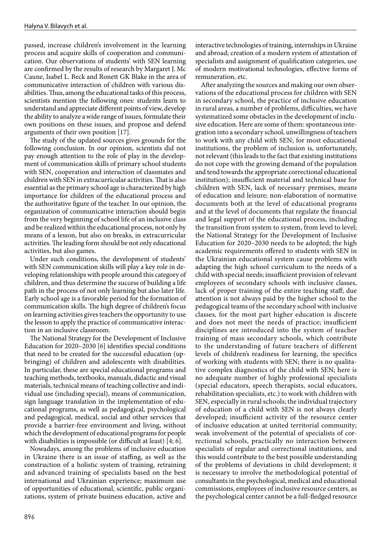passed, increase children's involvement in the learning process and acquire skills of cooperation and communication. Our observations of students' with SEN learning are confirmed by the results of research by Margaret J. Mc Caune, Isabel L. Beck and Ronett GK Blake in the area of communicative interaction of children with various disabilities. Thus, among the educational tasks of this process, scientists mention the following ones: students learn to understand and appreciate different points of view, develop the ability to analyze a wide range of issues, formulate their own positions on these issues, and propose and defend arguments of their own position [17].

The study of the updated sources gives grounds for the following conclusion. In our opinion, scientists did not pay enough attention to the role of play in the development of communication skills of primary school students with SEN, cooperation and interaction of classmates and children with SEN in extracurricular activities. That is also essential as the primary school age is characterized by high importance for children of the educational process and the authoritative figure of the teacher. In our opinion, the organization of communicative interaction should begin from the very beginning of school life of an inclusive class and be realized within the educational process, not only by means of a lesson, but also on breaks, in extracurricular activities. The leading form should be not only educational activities, but also games.

Under such conditions, the development of students' with SEN communication skills will play a key role in developing relationships with people around this category of children, and thus determine the success of building a life path in the process of not only learning but also later life. Early school age is a favorable period for the formation of communication skills. The high degree of children's focus on learning activities gives teachers the opportunity to use the lesson to apply the practice of communicative interaction in an inclusive classroom.

The National Strategy for the Development of Inclusive Education for 2020–2030 [6] identifies special conditions that need to be created for the successful education (upbringing) of children and adolescents with disabilities. In particular, these are special educational programs and teaching methods, textbooks, manuals, didactic and visual materials, technical means of teaching collective and individual use (including special), means of communication, sign language translation in the implementation of educational programs, as well as pedagogical, psychological and pedagogical, medical, social and other services that provide a barrier-free environment and living, without which the development of educational programs for people with disabilities is impossible (or difficult at least) [4; 6].

Nowadays, among the problems of inclusive education in Ukraine there is an issue of staffing, as well as the construction of a holistic system of training, retraining and advanced training of specialists based on the best international and Ukrainian experience; maximum use of opportunities of educational, scientific, public organizations, system of private business education, active and interactive technologies of training, internships in Ukraine and abroad; creation of a modern system of attestation of specialists and assignment of qualification categories, use of modern motivational technologies, effective forms of remuneration, etc.

After analyzing the sources and making our own observations of the educational process for children with SEN in secondary school, the practice of inclusive education in rural areas, a number of problems, difficulties, we have systematized some obstacles in the development of inclusive education. Here are some of them: spontaneous integration into a secondary school, unwillingness of teachers to work with any child with SEN; for most educational institutions, the problem of inclusion is, unfortunately, not relevant (this leads to the fact that existing institutions do not cope with the growing demand of the population and tend towards the appropriate correctional educational institution); insufficient material and technical base for children with SEN, lack of necessary premises, means of education and leisure; non-elaboration of normative documents both at the level of educational programs and at the level of documents that regulate the financial and legal support of the educational process, including the transition from system to system, from level to level; the National Strategy for the Development of Inclusive Education for 2020–2030 needs to be adopted; the high academic requirements offered to students with SEN in the Ukrainian educational system cause problems with adapting the high school curriculum to the needs of a child with special needs; insufficient provision of relevant employees of secondary schools with inclusive classes, lack of proper training of the entire teaching staff; due attention is not always paid by the higher school to the pedagogical teams of the secondary school with inclusive classes, for the most part higher education is discrete and does not meet the needs of practice; insufficient disciplines are introduced into the system of teacher training of mass secondary schools, which contribute to the understanding of future teachers of different levels of children's readiness for learning, the specifics of working with students with SEN; there is no qualitative complex diagnostics of the child with SEN; here is no adequate number of highly professional specialists (special educators, speech therapists, social educators, rehabilitation specialists, etc.) to work with children with SEN, especially in rural schools; the individual trajectory of education of a child with SEN is not always clearly developed; insufficient activity of the resource center of inclusive education at united territorial community; weak involvement of the potential of specialists of correctional schools, practically no interaction between specialists of regular and correctional institutions, and this would contribute to the best possible understanding of the problems of deviations in child development; it is necessary to involve the methodological potential of consultants in the psychological, medical and educational commissions, employees of inclusive resource centers, as the psychological center cannot be a full-fledged resource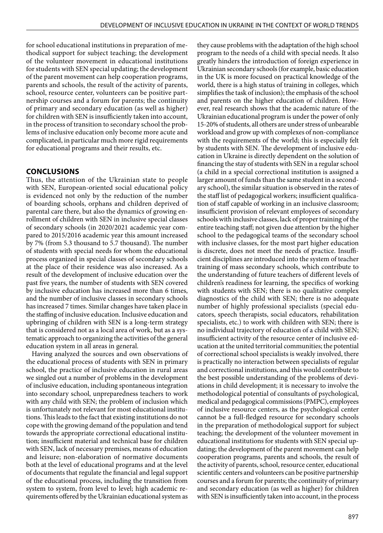for school educational institutions in preparation of methodical support for subject teaching; the development of the volunteer movement in educational institutions for students with SEN special updating; the development of the parent movement can help cooperation programs, parents and schools, the result of the activity of parents, school, resource center, volunteers can be positive partnership courses and a forum for parents; the continuity of primary and secondary education (as well as higher) for children with SEN is insufficiently taken into account, in the process of transition to secondary school the problems of inclusive education only become more acute and complicated, in particular much more rigid requirements for educational programs and their results, etc.

## **CONCLUSIONS**

Thus, the attention of the Ukrainian state to people with SEN, European-oriented social educational policy is evidenced not only by the reduction of the number of boarding schools, orphans and children deprived of parental care there, but also the dynamics of growing enrollment of children with SEN in inclusive special classes of secondary schools (in 2020/2021 academic year compared to 2015/2016 academic year this amount increased by 7% (from 5.3 thousand to 5.7 thousand). The number of students with special needs for whom the educational process organized in special classes of secondary schools at the place of their residence was also increased. As a result of the development of inclusive education over the past five years, the number of students with SEN covered by inclusive education has increased more than 6 times, and the number of inclusive classes in secondary schools has increased 7 times. Similar changes have taken place in the staffing of inclusive education. Inclusive education and upbringing of children with SEN is a long-term strategy that is considered not as a local area of work, but as a systematic approach to organizing the activities of the general education system in all areas in general.

Having analyzed the sources and own observations of the educational process of students with SEN in primary school, the practice of inclusive education in rural areas we singled out a number of problems in the development of inclusive education, including spontaneous integration into secondary school, unpreparedness teachers to work with any child with SEN; the problem of inclusion which is unfortunately not relevant for most educational institutions. This leads to the fact that existing institutions do not cope with the growing demand of the population and tend towards the appropriate correctional educational institution; insufficient material and technical base for children with SEN, lack of necessary premises, means of education and leisure; non-elaboration of normative documents both at the level of educational programs and at the level of documents that regulate the financial and legal support of the educational process, including the transition from system to system, from level to level; high academic requirements offered by the Ukrainian educational system as they cause problems with the adaptation of the high school program to the needs of a child with special needs. It also greatly hinders the introduction of foreign experience in Ukrainian secondary schools (for example, basic education in the UK is more focused on practical knowledge of the world, there is a high status of training in colleges, which simplifies the task of inclusion); the emphasis of the school and parents on the higher education of children. However, real research shows that the academic nature of the Ukrainian educational program is under the power of only 15-20% of students, all others are under stress of unbearable workload and grow up with complexes of non-compliance with the requirements of the world; this is especially felt by students with SEN. The development of inclusive education in Ukraine is directly dependent on the solution of financing the stay of students with SEN in a regular school (a child in a special correctional institution is assigned a larger amount of funds than the same student in a secondary school), the similar situation is observed in the rates of the staff list of pedagogical workers; insufficient qualification of staff capable of working in an inclusive classroom; insufficient provision of relevant employees of secondary schools with inclusive classes, lack of proper training of the entire teaching staff; not given due attention by the higher school to the pedagogical teams of the secondary school with inclusive classes, for the most part higher education is discrete, does not meet the needs of practice. Insufficient disciplines are introduced into the system of teacher training of mass secondary schools, which contribute to the understanding of future teachers of different levels of children's readiness for learning, the specifics of working with students with SEN; there is no qualitative complex diagnostics of the child with SEN; there is no adequate number of highly professional specialists (special educators, speech therapists, social educators, rehabilitation specialists, etc.) to work with children with SEN; there is no individual trajectory of education of a child with SEN; insufficient activity of the resource center of inclusive education at the united territorial communities; the potential of correctional school specialists is weakly involved, there is practically no interaction between specialists of regular and correctional institutions, and this would contribute to the best possible understanding of the problems of deviations in child development; it is necessary to involve the methodological potential of consultants of psychological, medical and pedagogical commissions (PMPC), employees of inclusive resource centers, as the psychological center cannot be a full-fledged resource for secondary schools in the preparation of methodological support for subject teaching; the development of the volunteer movement in educational institutions for students with SEN special updating; the development of the parent movement can help cooperation programs, parents and schools, the result of the activity of parents, school, resource center, educational scientific centers and volunteers can be positive partnership courses and a forum for parents; the continuity of primary and secondary education (as well as higher) for children with SEN is insufficiently taken into account, in the process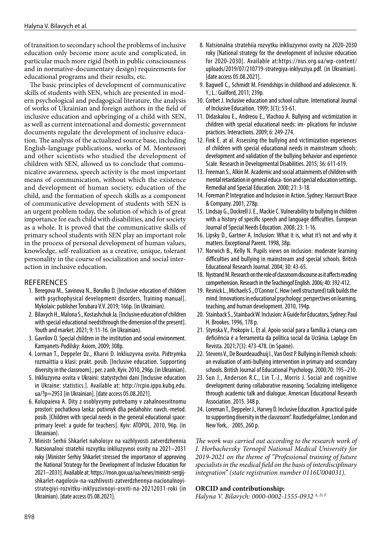of transition to secondary school the problems of inclusive education only become more acute and complicated, in particular much more rigid (both in public consciousness and in normative-documentary design) requirements for educational programs and their results, etc.

The basic principles of development of communicative skills of students with SEN, which are presented in modern psychological and pedagogical literature, the analysis of works of Ukrainian and foreign authors in the field of inclusive education and upbringing of a child with SEN, as well as current international and domestic government documents regulate the development of inclusive education. The analysis of the actualized source base, including English-language publications, works of M. Montessori and other scientists who studied the development of children with SEN, allowed us to conclude that communicative awareness, speech activity is the most important means of communication, without which the existence and development of human society, education of the child, and the formation of speech skills as a component of communicative development of students with SEN is an urgent problem today, the solution of which is of great importance for each child with disabilities, and for society as a whole. It is proved that the communicative skills of primary school students with SEN play an important role in the process of personal development of human values, knowledge, self-realization as a creative, unique, tolerant personality in the course of socialization and social interaction in inclusive education.

## **REFERENCES**

- 1. Beregova M., Savinova N., Borulko D. [Inclusive education of children with psychophysical development disorders. Training manual]. Mykolaiv: publisher Torubara V.V. 2019; 166p. (in Ukrainian).
- 2. Bilavych Н., Malona S., Kostashchuk Ja. [Inclusive education of children with special educational needsthrough the dimension of the present]. Youth and market. 2021; 9: 11-16. (in Ukrainian).
- 3. Gavrilov O. Special children in the institution and social environment. Kamyanets-Podilsky: Axiom, 2009; 308p.
- 4. Lorman T., Deppeler Dz., Kharvi D. Inkliuzyvna osvita. Pidtrymka rozmaittia u klasi: prakt. posib. [Inclusive education. Supporting diversity in the classroom].; per. z anh. Kyiv. 2010, 296p. (in Ukrainian).
- 5. Inkliuzyvna osvita v Ukraini: statystychni dani [Inclusive education in Ukraine: statistics.]. Available at: http://rcpio.ippo.kubg.edu. ua/?p=2953 [in Ukrainian]. [date access 05.08.2021].
- 6. Kolupaieva A. Dity z osoblyvymy potrebamy v zahalnoosvitnomu prostori: pochatkova lanka: putivnyk dlia pedahohiv: navch.-metod. posib. [Children with special needs in the general educational space: primary level: a guide for teachers]. Kyiv: ATOPOL. 2010, 96p. (in Ukrainian).
- 7. Ministr Serhii Shkarlet naholosyv na vazhlyvosti zatverdzhennia Natsionalnoi stratehii rozvytku inkliuzyvnoi osvity na 2021–2031 roky [Minister Serhiy Shkarlet stressed the importance of approving the National Strategy for the Development of Inclusive Education for 2021–2031]. Available at: https://mon.gov.ua/ua/news/ministr-sergijshkarlet-nagolosiv-na-vazhlivosti-zatverdzhennya-nacionalnoyistrategiyi-rozvitku-inklyuzivnoyi-osviti-na-20212031-roki (in Ukrainian). [date access 05.08.2021].
- 8. Natsionalna stratehiia rozvytku inkliuzyvnoi osvity na 2020-2030 roky [National strategy for the development of inclusive education for 2020-2030]. Available at:https://nus.org.ua/wp-content/ uploads/2019/07/210719-strategiya-inklyuziya.pdf. (in Ukrainian). [date access 05.08.2021].
- 9. Bagwell C., Schmidt M. Friendships in childhood and adolescence. N. Y.; L.: Guilford, 2011; 239p.
- 10. Corbet J. Inclusive education and school culture. International Journal of Inclusive Educaition. 1999; 3(1): 53-61.
- 11. Didaskalou E., Andreou E., Vlachou A. Bullying and victimization in children with special educational needs: im- plications for inclusive practices. Interactions. 2009; 6: 249-274.
- 12. Fink E. at al. Assessing the bullying and victimization experiences of children with special educational needs in mainstream schools: development and validation of the bullying behavior and experience Scale. Research in Developmental Disabilities. 2015; 36: 611-619.
- 13. Freeman S., Alkin M. Academic and social attainments of children with mental retardation in general educa- tion and special education settings. Remedial and Special Education. 2000; 21: 3-18.
- 14. Foreman P. Integration and Inclusion in Action. Sydney: Harcourt Brace & Company. 2001, 278p.
- 15. Lindsay G., Dockrell J. E., Mackie C. Vulnerability to bullying in children with a history of specific speech and language difficulties. European Journal of Special Needs Education. 2008; 23: 1-16.
- 16. Lipsky D., Gartner A. Inclusion: What it is, what it's not and why it matters. Exceptional Parent. 1998, 38p.
- 17. Norwich B., Kelly N. Pupils views on inclusion: moderate learning difficulties and bullying in mainstream and special schools. British Educational Research Journal. 2004; 30: 43-65.
- 18. Nystrand M. Research on the role of classroom discourse as it affects reading comprehension. Research in the Teachingof English. 2006; 40: 392-412.
- 19. Resnick L., Michaels S., O'Connor C. How (well structured) talk builds the mind. Innovations in educational psychology: perspectives on learning, teaching, and human development. 2010, 194p.
- 20. Stainback S., Stainback W. Inclusion: A Guide for Educators, Sydney: Paul H. Brookes. 1996, 178 р.
- 21. Stynska V., Prokopiv L. Et al. Apoio social para a família à criança com deficiência é a ferramenta da política social da Ucrânia. Laplage Em Revista. 2021;7(3): 473-478. (in Spaine).
- 22. Stevens V., De Bourdeaudhuij I., Van Oost P. Bullying in Flemish schools: an evaluation of anti-bullying intervention in primary and secondary schools. British Journal of Educational Psychology. 2000;70: 195–210.
- 23. Sun J., Anderson R.C., Lin T.-J., Morris J. Social and cognitive development during collaborative reasoning. Socializing intelligence through academic talk and dialogue. American Educational Research Association. 2015. 348 р.
- 24. Loreman Т., Deppeler J., Harvey D. Inclusive Education. A practical guide to supporting diversity in the classroom". RoutledgeFalmer, London and New York,. 2005, 260 р.

*The work was carried out according to the research work of I. Horbachevsky Ternopil National Medical University for 2019-2021 on the theme of "Professional training of future specialists in the medical field on the basis of interdisciplinary integration" (state registration number 0116U004031).*

## **ORCID and contributionship:**

*Halyna V. Bilavych: 0000-0002-1555-0932 A, D, F*